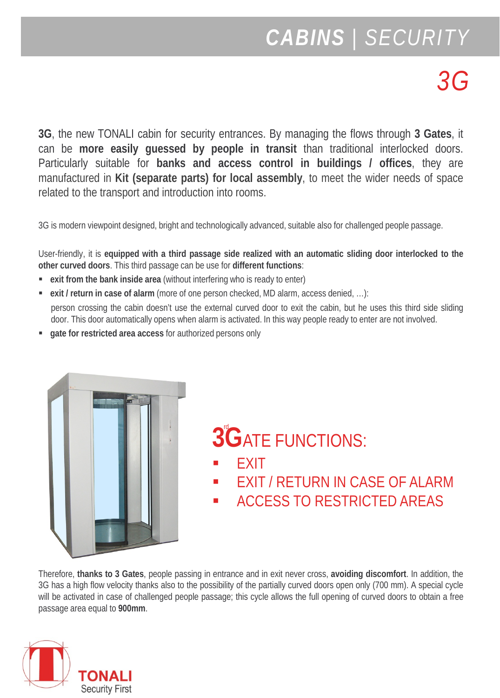# *CABINS | SECURITY*

# *3G*

**3G**, the new TONALI cabin for security entrances. By managing the flows through **3 Gates**, it can be **more easily guessed by people in transit** than traditional interlocked doors. Particularly suitable for **banks and access control in buildings / offices**, they are manufactured in **Kit (separate parts) for local assembly**, to meet the wider needs of space related to the transport and introduction into rooms.

3G is modern viewpoint designed, bright and technologically advanced, suitable also for challenged people passage.

User-friendly, it is **equipped with a third passage side realized with an automatic sliding door interlocked to the other curved doors**. This third passage can be use for **different functions**:

- **exit from the bank inside area** (without interfering who is ready to enter)
- **exit / return in case of alarm** (more of one person checked, MD alarm, access denied, …): person crossing the cabin doesn't use the external curved door to exit the cabin, but he uses this third side sliding door. This door automatically opens when alarm is activated. In this way people ready to enter are not involved.
- **gate for restricted area access** for authorized persons only



# **3<sup>°</sup>GATE FUNCTIONS:**

- **EXIT**
- EXIT / RETURN IN CASE OF ALARM
- ACCESS TO RESTRICTED AREAS

Therefore, **thanks to 3 Gates**, people passing in entrance and in exit never cross, **avoiding discomfort**. In addition, the 3G has a high flow velocity thanks also to the possibility of the partially curved doors open only (700 mm). A special cycle will be activated in case of challenged people passage; this cycle allows the full opening of curved doors to obtain a free passage area equal to **900mm**.

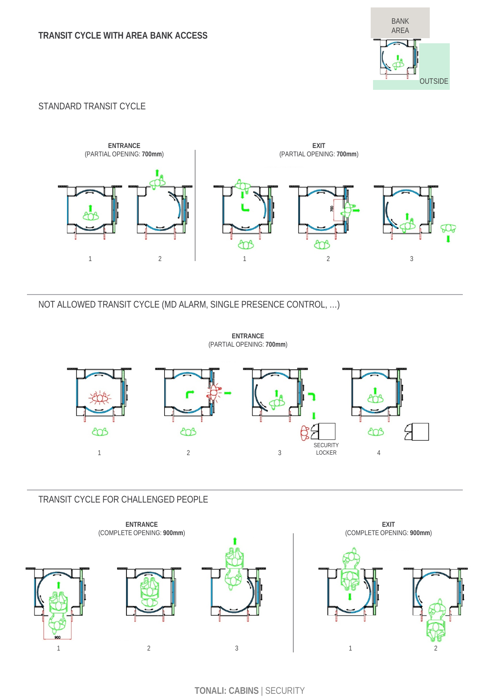<u>ang</u> cos cos cos **SECURITY** LOCKER 1 2 2 3 LOCKER 4

## TRANSIT CYCLE FOR CHALLENGED PEOPLE

**EXIT** (COMPLETE OPENING: **900mm**) **ENTRANCE** (COMPLETE OPENING: **900mm**) 1  $2$  3  $1$  2

**TONALI: CABINS** | SECURITY

## STANDARD TRANSIT CYCLE



**ENTRANCE** (PARTIAL OPENING: **700mm**)

NOT ALLOWED TRANSIT CYCLE (MD ALARM, SINGLE PRESENCE CONTROL, …)

**TRANSIT CYCLE WITH AREA BANK ACCESS**



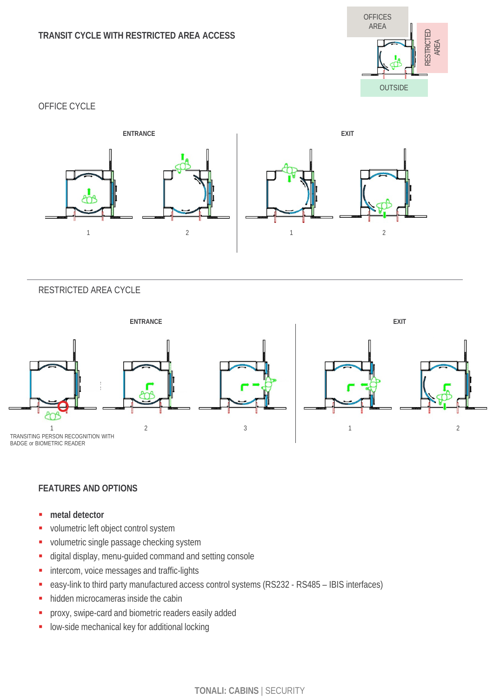#### **TRANSIT CYCLE WITH RESTRICTED AREA ACCESS**



OFFICE CYCLE



RESTRICTED AREA CYCLE



#### **FEATURES AND OPTIONS**

- **metal detector**
- volumetric left object control system
- **volumetric single passage checking system**
- digital display, menu-guided command and setting console
- **intercom, voice messages and traffic-lights**
- easy-link to third party manufactured access control systems (RS232 RS485 IBIS interfaces)
- hidden microcameras inside the cabin
- **•** proxy, swipe-card and biometric readers easily added
- **-** low-side mechanical key for additional locking

**TONALI: CABINS** | SECURITY